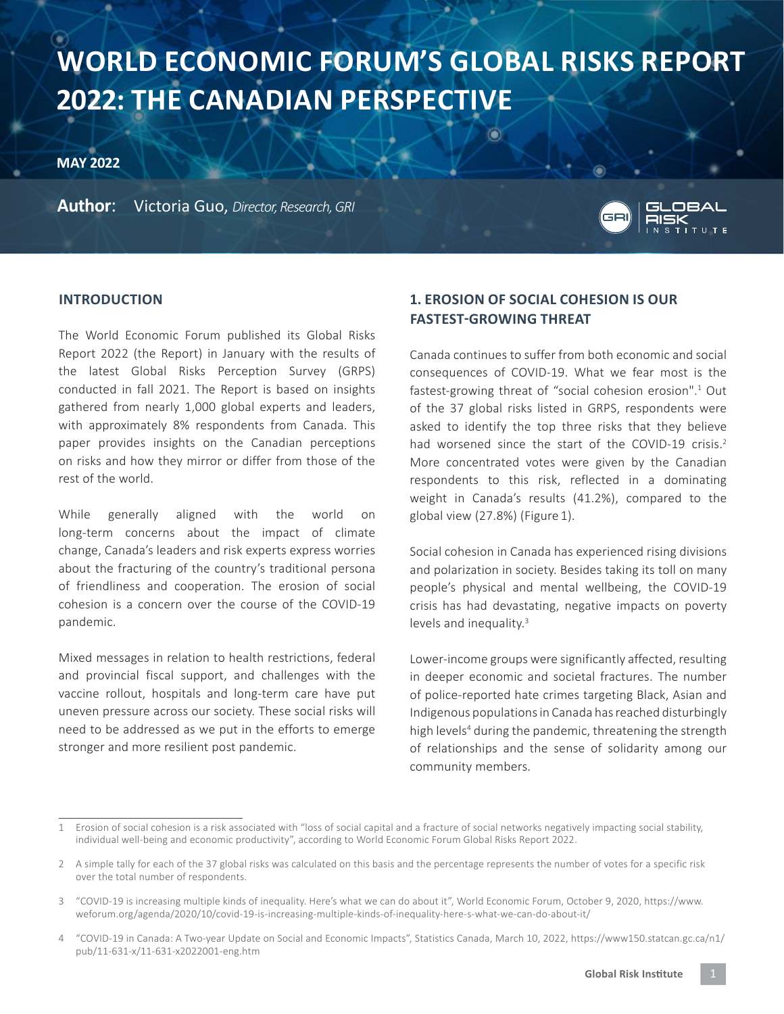# **WORLD ECONOMIC FORUM'S GLOBAL RISKS REPORT 2022: THE CANADIAN PERSPECTIVE**

**MAY 2022**

**Author**: Victoria Guo, *Director, Research, GRI*



#### **INTRODUCTION**

The World Economic Forum published its Global Risks Report 2022 (the Report) in January with the results of the latest Global Risks Perception Survey (GRPS) conducted in fall 2021. The Report is based on insights gathered from nearly 1,000 global experts and leaders, with approximately 8% respondents from Canada. This paper provides insights on the Canadian perceptions on risks and how they mirror or differ from those of the rest of the world.

While generally aligned with the world on long-term concerns about the impact of climate change, Canada's leaders and risk experts express worries about the fracturing of the country's traditional persona of friendliness and cooperation. The erosion of social cohesion is a concern over the course of the COVID-19 pandemic.

Mixed messages in relation to health restrictions, federal and provincial fiscal support, and challenges with the vaccine rollout, hospitals and long-term care have put uneven pressure across our society. These social risks will need to be addressed as we put in the efforts to emerge stronger and more resilient post pandemic.

# **1. EROSION OF SOCIAL COHESION IS OUR FASTEST-GROWING THREAT**

Canada continues to suffer from both economic and social consequences of COVID-19. What we fear most is the fastest-growing threat of "social cohesion erosion".<sup>1</sup> Out of the 37 global risks listed in GRPS, respondents were asked to identify the top three risks that they believe had worsened since the start of the COVID-19 crisis.<sup>2</sup> More concentrated votes were given by the Canadian respondents to this risk, reflected in a dominating weight in Canada's results (41.2%), compared to the global view (27.8%) (Figure 1).

Social cohesion in Canada has experienced rising divisions and polarization in society. Besides taking its toll on many people's physical and mental wellbeing, the COVID-19 crisis has had devastating, negative impacts on poverty levels and inequality.<sup>3</sup>

Lower-income groups were significantly affected, resulting in deeper economic and societal fractures. The number of police-reported hate crimes targeting Black, Asian and Indigenous populations in Canada has reached disturbingly high levels<sup>4</sup> during the pandemic, threatening the strength of relationships and the sense of solidarity among our community members.

<sup>1</sup> Erosion of social cohesion is a risk associated with "loss of social capital and a fracture of social networks negatively impacting social stability, individual well-being and economic productivity", according to World Economic Forum Global Risks Report 2022.

<sup>2</sup> A simple tally for each of the 37 global risks was calculated on this basis and the percentage represents the number of votes for a specific risk over the total number of respondents.

<sup>3</sup> "COVID-19 is increasing multiple kinds of inequality. Here's what we can do about it", World Economic Forum, October 9, 2020, https://www. weforum.org/agenda/2020/10/covid-19-is-increasing-multiple-kinds-of-inequality-here-s-what-we-can-do-about-it/

<sup>4</sup> "COVID-19 in Canada: A Two-year Update on Social and Economic Impacts", Statistics Canada, March 10, 2022, https://www150.statcan.gc.ca/n1/ pub/11-631-x/11-631-x2022001-eng.htm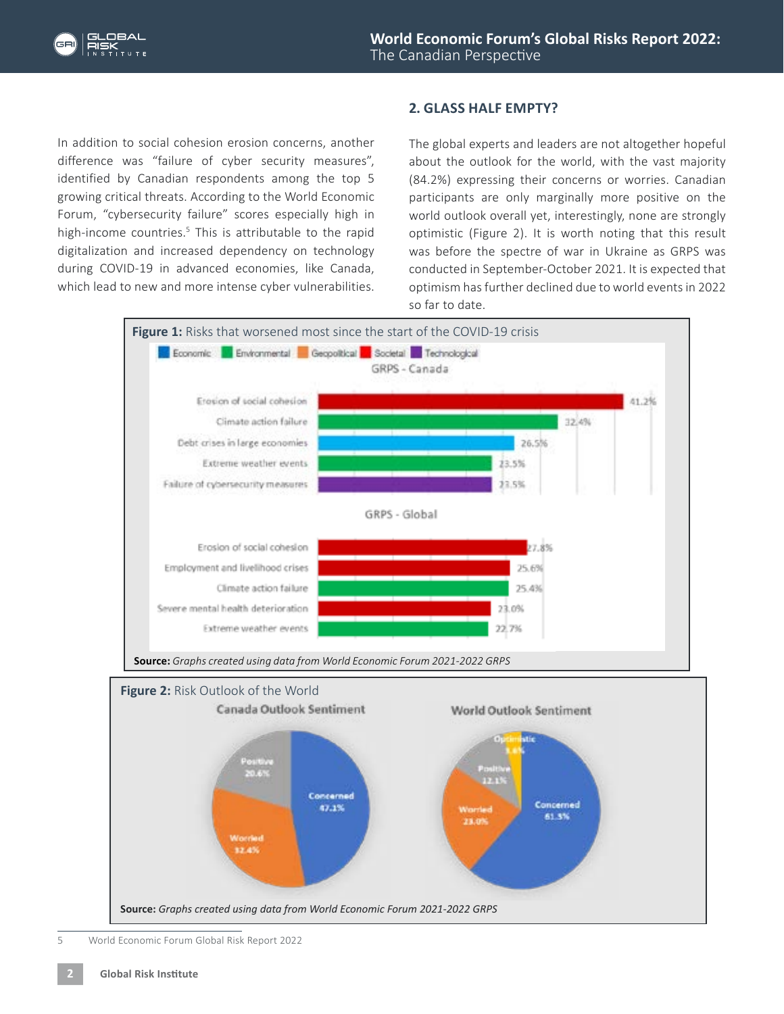

In addition to social cohesion erosion concerns, another difference was "failure of cyber security measures", identified by Canadian respondents among the top 5 growing critical threats. According to the World Economic Forum, "cybersecurity failure" scores especially high in high-income countries.<sup>5</sup> This is attributable to the rapid digitalization and increased dependency on technology during COVID-19 in advanced economies, like Canada, which lead to new and more intense cyber vulnerabilities.

### **2. GLASS HALF EMPTY?**

The global experts and leaders are not altogether hopeful about the outlook for the world, with the vast majority (84.2%) expressing their concerns or worries. Canadian participants are only marginally more positive on the world outlook overall yet, interestingly, none are strongly optimistic (Figure 2). It is worth noting that this result was before the spectre of war in Ukraine as GRPS was conducted in September-October 2021. It is expected that optimism has further declined due to world events in 2022 so far to date.



5 World Economic Forum Global Risk Report 2022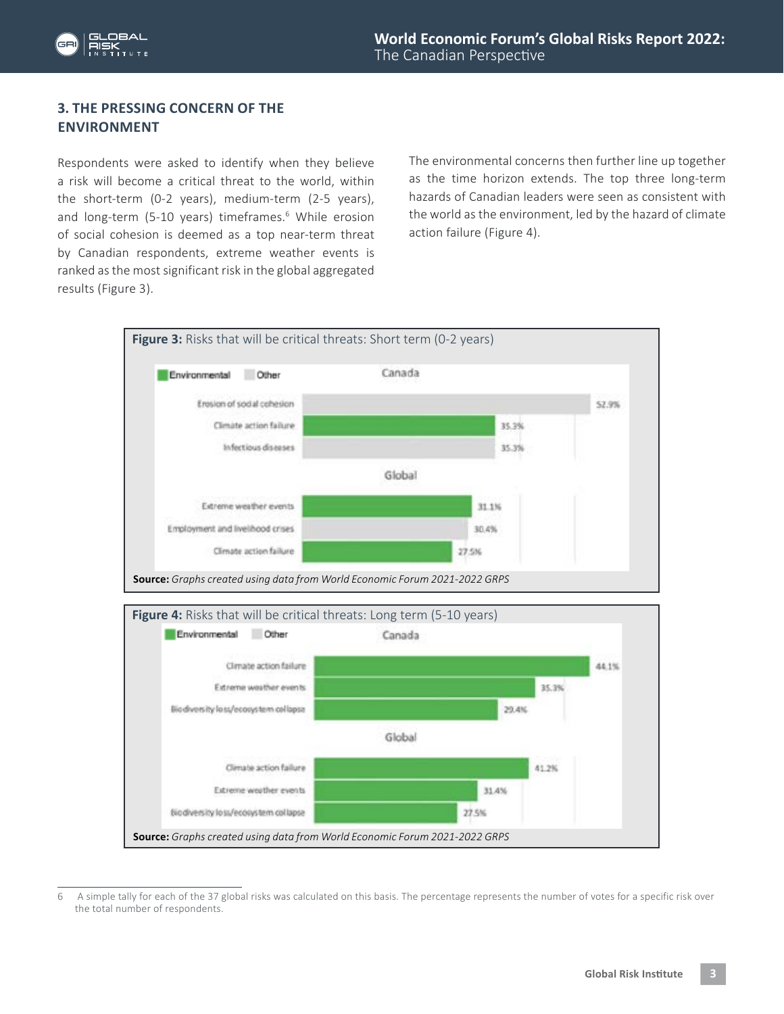

### **3. THE PRESSING CONCERN OF THE ENVIRONMENT**

Respondents were asked to identify when they believe a risk will become a critical threat to the world, within the short-term (0-2 years), medium-term (2-5 years), and long-term (5-10 years) timeframes.<sup>6</sup> While erosion of social cohesion is deemed as a top near-term threat by Canadian respondents, extreme weather events is ranked as the most significant risk in the global aggregated results (Figure 3).

The environmental concerns then further line up together as the time horizon extends. The top three long-term hazards of Canadian leaders were seen as consistent with the world as the environment, led by the hazard of climate action failure (Figure 4).



<sup>6</sup> A simple tally for each of the 37 global risks was calculated on this basis. The percentage represents the number of votes for a specific risk over the total number of respondents.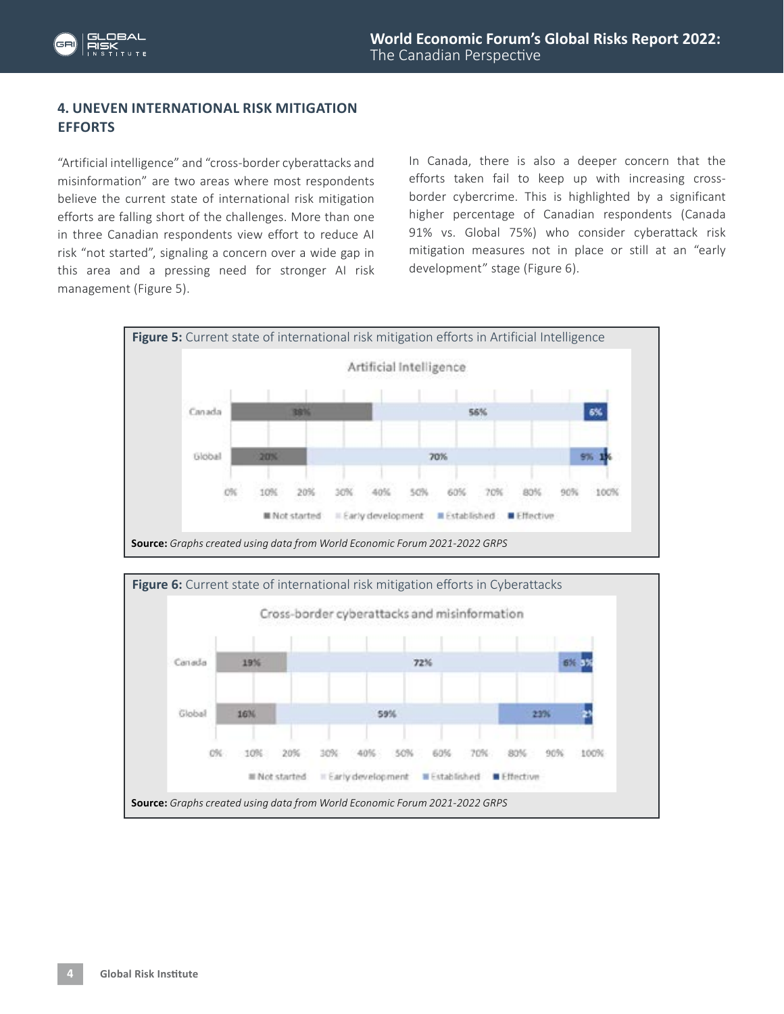# **4. UNEVEN INTERNATIONAL RISK MITIGATION EFFORTS**

"Artificial intelligence" and "cross-border cyberattacks and misinformation" are two areas where most respondents believe the current state of international risk mitigation efforts are falling short of the challenges. More than one in three Canadian respondents view effort to reduce AI risk "not started", signaling a concern over a wide gap in this area and a pressing need for stronger AI risk management (Figure 5).

In Canada, there is also a deeper concern that the efforts taken fail to keep up with increasing crossborder cybercrime. This is highlighted by a significant higher percentage of Canadian respondents (Canada 91% vs. Global 75%) who consider cyberattack risk mitigation measures not in place or still at an "early development" stage (Figure 6).